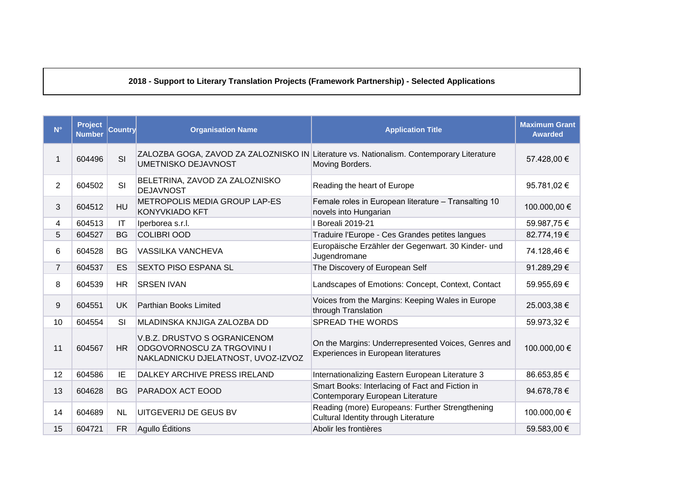## **2018 - Support to Literary Translation Projects (Framework Partnership) - Selected Applications**

| $N^{\circ}$    | Project<br><b>Number</b> | Country                | <b>Organisation Name</b>                                                                         | <b>Application Title</b>                                                                                    | <b>Maximum Grant</b><br><b>Awarded</b> |
|----------------|--------------------------|------------------------|--------------------------------------------------------------------------------------------------|-------------------------------------------------------------------------------------------------------------|----------------------------------------|
| 1              | 604496                   | SI                     | <b>UMETNISKO DEJAVNOST</b>                                                                       | ZALOZBA GOGA, ZAVOD ZA ZALOZNISKO IN Literature vs. Nationalism. Contemporary Literature<br>Moving Borders. | 57.428,00 €                            |
| $\overline{2}$ | 604502                   | SI                     | BELETRINA, ZAVOD ZA ZALOZNISKO<br><b>DEJAVNOST</b>                                               | Reading the heart of Europe                                                                                 | 95.781,02 €                            |
| 3              | 604512                   | HU                     | METROPOLIS MEDIA GROUP LAP-ES<br><b>KONYVKIADO KFT</b>                                           | Female roles in European literature - Transalting 10<br>novels into Hungarian                               | 100.000,00 €                           |
| 4              | 604513                   | $\mathsf{I}\mathsf{T}$ | Iperborea s.r.l.                                                                                 | I Boreali 2019-21                                                                                           | 59.987,75€                             |
| 5              | 604527                   | <b>BG</b>              | <b>COLIBRI OOD</b>                                                                               | Traduire l'Europe - Ces Grandes petites langues                                                             | 82.774,19€                             |
| 6              | 604528                   | <b>BG</b>              | <b>VASSILKA VANCHEVA</b>                                                                         | Europäische Erzähler der Gegenwart. 30 Kinder- und<br>Jugendromane                                          | 74.128,46 €                            |
| $\overline{7}$ | 604537                   | ES                     | <b>SEXTO PISO ESPANA SL</b>                                                                      | The Discovery of European Self                                                                              | 91.289,29€                             |
| 8              | 604539                   | <b>HR</b>              | <b>SRSEN IVAN</b>                                                                                | Landscapes of Emotions: Concept, Context, Contact                                                           | 59.955,69€                             |
| 9              | 604551                   | <b>UK</b>              | Parthian Books Limited                                                                           | Voices from the Margins: Keeping Wales in Europe<br>through Translation                                     | 25.003,38 €                            |
| 10             | 604554                   | SI                     | MLADINSKA KNJIGA ZALOZBA DD                                                                      | <b>SPREAD THE WORDS</b>                                                                                     | 59.973,32 €                            |
| 11             | 604567                   | <b>HR</b>              | V.B.Z. DRUSTVO S OGRANICENOM<br>ODGOVORNOSCU ZA TRGOVINU I<br>NAKLADNICKU DJELATNOST, UVOZ-IZVOZ | On the Margins: Underrepresented Voices, Genres and<br>Experiences in European literatures                  | 100.000,00 €                           |
| 12             | 604586                   | IE                     | DALKEY ARCHIVE PRESS IRELAND                                                                     | Internationalizing Eastern European Literature 3                                                            | 86.653,85 €                            |
| 13             | 604628                   | <b>BG</b>              | PARADOX ACT EOOD                                                                                 | Smart Books: Interlacing of Fact and Fiction in<br>Contemporary European Literature                         | 94.678,78€                             |
| 14             | 604689                   | <b>NL</b>              | UITGEVERIJ DE GEUS BV                                                                            | Reading (more) Europeans: Further Strengthening<br>Cultural Identity through Literature                     | 100.000,00 €                           |
| 15             | 604721                   | <b>FR</b>              | Agullo Éditions                                                                                  | Abolir les frontières                                                                                       | 59.583,00 €                            |